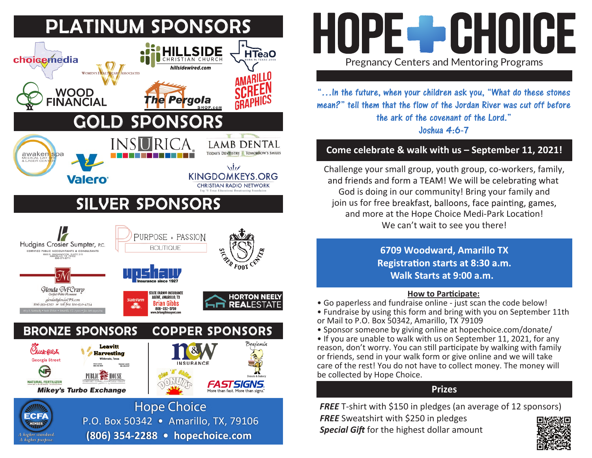

## HOPE - GHOICE Pregnancy Centers and Mentoring Programs

"…In the future, when your children ask you, "What do these stones mean?" tell them that the flow of the Jordan River was cut off before the ark of the covenant of the Lord." Joshua 4:6-7

## **Come celebrate & walk with us – September 11, 2021!**

Challenge your small group, youth group, co-workers, family, and friends and form a TEAM! We will be celebrating what God is doing in our community! Bring your family and join us for free breakfast, balloons, face painting, games, and more at the Hope Choice Medi-Park Location! We can't wait to see you there!

> **6709 Woodward, Amarillo TX** Registration starts at 8:30 a.m. **Walk Starts at 9:00 a.m.**

## **How to Par�cipate:**

- Go paperless and fundraise online just scan the code below!
- Fundraise by using this form and bring with you on September 11th or Mail to P.O. Box 50342, Amarillo, TX 79109
- Sponsor someone by giving online at hopechoice.com/donate/
- If you are unable to walk with us on September 11, 2021, for any reason, don't worry. You can still participate by walking with family or friends, send in your walk form or give online and we will take care of the rest! You do not have to collect money. The money will be collected by Hope Choice.

## **Prizes**

*FREE* T-shirt with \$150 in pledges (an average of 12 sponsors) *FREE* Sweatshirt with \$250 in pledges

*Special Gift* for the highest dollar amount